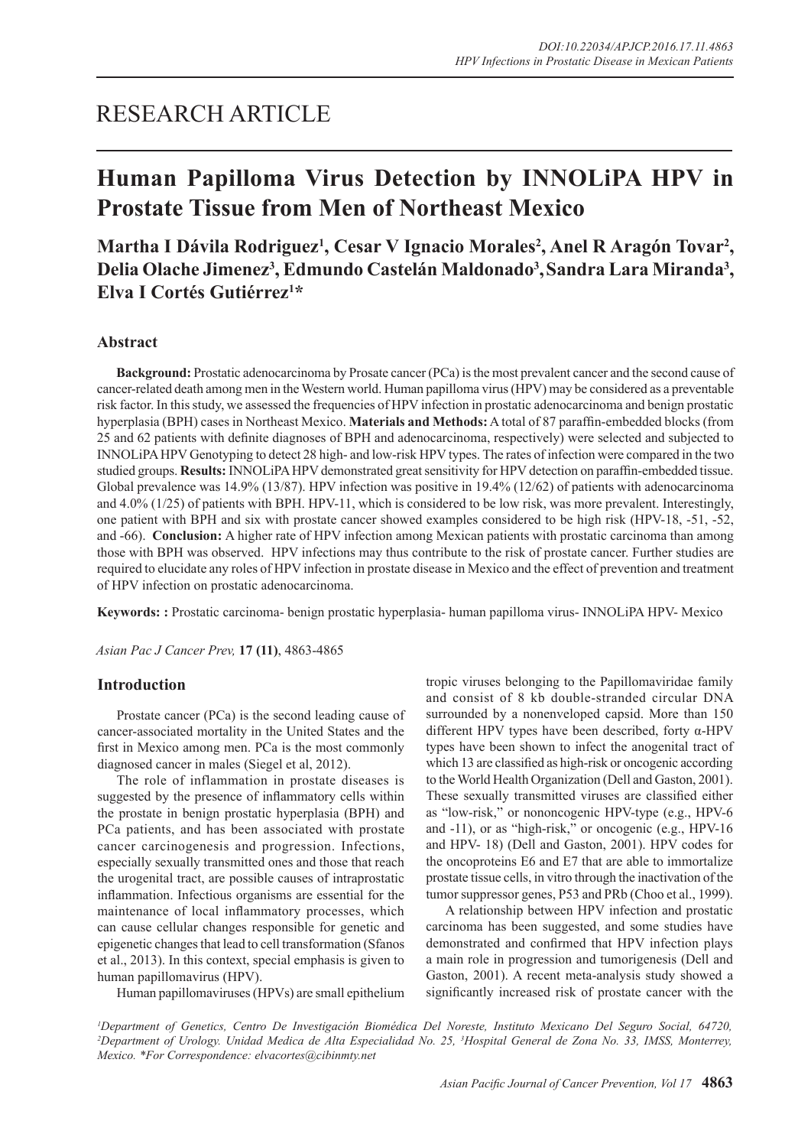# RESEARCH ARTICLE

# **Human Papilloma Virus Detection by INNOLiPA HPV in Prostate Tissue from Men of Northeast Mexico**

Martha I Dávila Rodriguez<sup>1</sup>, Cesar V Ignacio Morales<sup>2</sup>, Anel R Aragón Tovar<sup>2</sup>, Delia Olache Jimenez<sup>3</sup>, Edmundo Castelán Maldonado<sup>3</sup>, Sandra Lara Miranda<sup>3</sup>, **Elva I Cortés Gutiérrez1 \***

## **Abstract**

**Background:** Prostatic adenocarcinoma by Prosate cancer (PCa) is the most prevalent cancer and the second cause of cancer-related death among men in the Western world. Human papilloma virus (HPV) may be considered as a preventable risk factor. In this study, we assessed the frequencies of HPV infection in prostatic adenocarcinoma and benign prostatic hyperplasia (BPH) cases in Northeast Mexico. **Materials and Methods:** A total of 87 paraffin-embedded blocks (from 25 and 62 patients with definite diagnoses of BPH and adenocarcinoma, respectively) were selected and subjected to INNOLiPA HPV Genotyping to detect 28 high- and low-risk HPV types. The rates of infection were compared in the two studied groups. **Results:** INNOLiPA HPV demonstrated great sensitivity for HPV detection on paraffin-embedded tissue. Global prevalence was 14.9% (13/87). HPV infection was positive in 19.4% (12/62) of patients with adenocarcinoma and 4.0% (1/25) of patients with BPH. HPV-11, which is considered to be low risk, was more prevalent. Interestingly, one patient with BPH and six with prostate cancer showed examples considered to be high risk (HPV-18, -51, -52, and -66). **Conclusion:** A higher rate of HPV infection among Mexican patients with prostatic carcinoma than among those with BPH was observed. HPV infections may thus contribute to the risk of prostate cancer. Further studies are required to elucidate any roles of HPV infection in prostate disease in Mexico and the effect of prevention and treatment of HPV infection on prostatic adenocarcinoma.

**Keywords: :** Prostatic carcinoma- benign prostatic hyperplasia- human papilloma virus- INNOLiPA HPV- Mexico

*Asian Pac J Cancer Prev,* **17 (11)**, 4863-4865

## **Introduction**

Prostate cancer (PCa) is the second leading cause of cancer-associated mortality in the United States and the first in Mexico among men. PCa is the most commonly diagnosed cancer in males (Siegel et al, 2012).

The role of inflammation in prostate diseases is suggested by the presence of inflammatory cells within the prostate in benign prostatic hyperplasia (BPH) and PCa patients, and has been associated with prostate cancer carcinogenesis and progression. Infections, especially sexually transmitted ones and those that reach the urogenital tract, are possible causes of intraprostatic inflammation. Infectious organisms are essential for the maintenance of local inflammatory processes, which can cause cellular changes responsible for genetic and epigenetic changes that lead to cell transformation (Sfanos et al., 2013). In this context, special emphasis is given to human papillomavirus (HPV).

Human papillomaviruses (HPVs) are small epithelium

tropic viruses belonging to the Papillomaviridae family and consist of 8 kb double-stranded circular DNA surrounded by a nonenveloped capsid. More than 150 different HPV types have been described, forty α-HPV types have been shown to infect the anogenital tract of which 13 are classified as high-risk or oncogenic according to the World Health Organization (Dell and Gaston, 2001). These sexually transmitted viruses are classified either as "low-risk," or nononcogenic HPV-type (e.g., HPV-6 and -11), or as "high-risk," or oncogenic (e.g., HPV-16 and HPV- 18) (Dell and Gaston, 2001). HPV codes for the oncoproteins E6 and E7 that are able to immortalize prostate tissue cells, in vitro through the inactivation of the tumor suppressor genes, P53 and PRb (Choo et al., 1999).

A relationship between HPV infection and prostatic carcinoma has been suggested, and some studies have demonstrated and confirmed that HPV infection plays a main role in progression and tumorigenesis (Dell and Gaston, 2001). A recent meta-analysis study showed a significantly increased risk of prostate cancer with the

*1 Department of Genetics, Centro De Investigación Biomédica Del Noreste, Instituto Mexicano Del Seguro Social, 64720, 2 Department of Urology. Unidad Medica de Alta Especialidad No. 25, 3 Hospital General de Zona No. 33, IMSS, Monterrey, Mexico. \*For Correspondence: elvacortes@cibinmty.net*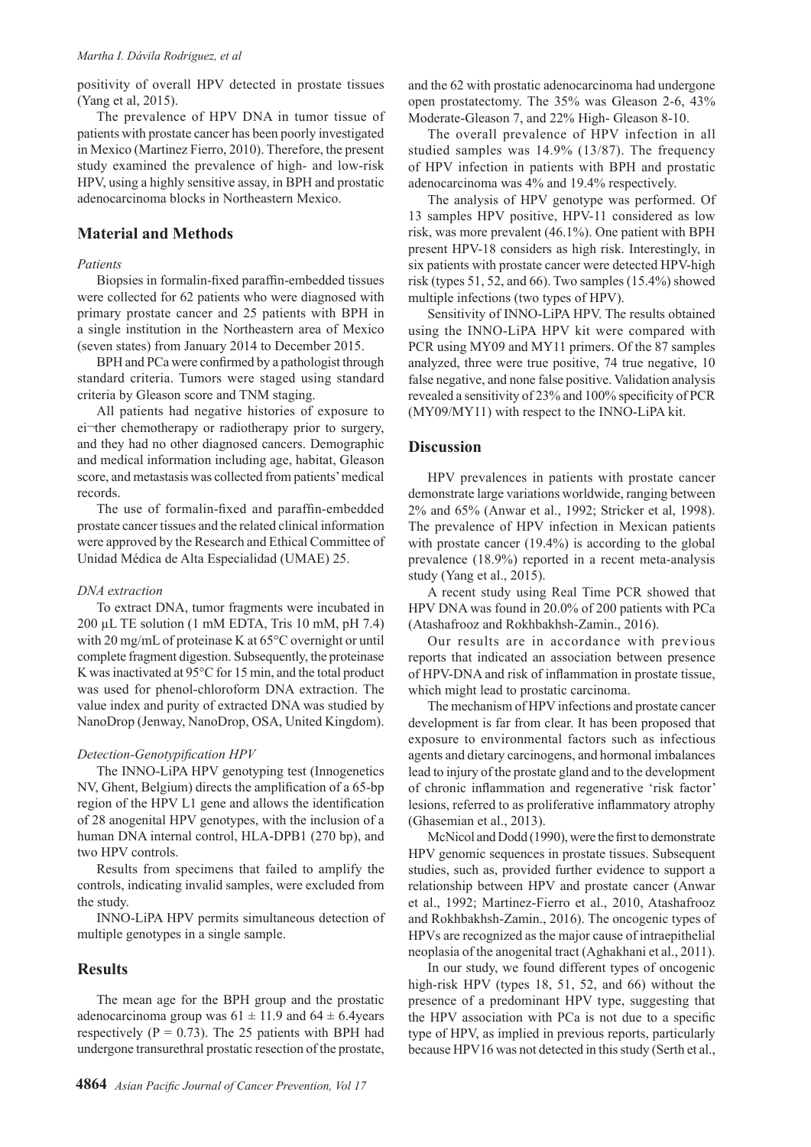#### *Martha I. Dávila Rodriguez, et al*

positivity of overall HPV detected in prostate tissues (Yang et al, 2015).

The prevalence of HPV DNA in tumor tissue of patients with prostate cancer has been poorly investigated in Mexico (Martinez Fierro, 2010). Therefore, the present study examined the prevalence of high- and low-risk HPV, using a highly sensitive assay, in BPH and prostatic adenocarcinoma blocks in Northeastern Mexico.

# **Material and Methods**

## *Patients*

Biopsies in formalin-fixed paraffin-embedded tissues were collected for 62 patients who were diagnosed with primary prostate cancer and 25 patients with BPH in a single institution in the Northeastern area of Mexico (seven states) from January 2014 to December 2015.

BPH and PCa were confirmed by a pathologist through standard criteria. Tumors were staged using standard criteria by Gleason score and TNM staging.

All patients had negative histories of exposure to ei-ther chemotherapy or radiotherapy prior to surgery, and they had no other diagnosed cancers. Demographic and medical information including age, habitat, Gleason score, and metastasis was collected from patients' medical records.

The use of formalin-fixed and paraffin-embedded prostate cancer tissues and the related clinical information were approved by the Research and Ethical Committee of Unidad Médica de Alta Especialidad (UMAE) 25.

#### *DNA extraction*

To extract DNA, tumor fragments were incubated in 200 µL TE solution (1 mM EDTA, Tris 10 mM, pH 7.4) with 20 mg/mL of proteinase K at 65°C overnight or until complete fragment digestion. Subsequently, the proteinase K was inactivated at 95°C for 15 min, and the total product was used for phenol-chloroform DNA extraction. The value index and purity of extracted DNA was studied by NanoDrop (Jenway, NanoDrop, OSA, United Kingdom).

#### *Detection-Genotypification HPV*

The INNO-LiPA HPV genotyping test (Innogenetics NV, Ghent, Belgium) directs the amplification of a 65-bp region of the HPV L1 gene and allows the identification of 28 anogenital HPV genotypes, with the inclusion of a human DNA internal control, HLA-DPB1 (270 bp), and two HPV controls.

Results from specimens that failed to amplify the controls, indicating invalid samples, were excluded from the study.

INNO-LiPA HPV permits simultaneous detection of multiple genotypes in a single sample.

## **Results**

The mean age for the BPH group and the prostatic adenocarcinoma group was  $61 \pm 11.9$  and  $64 \pm 6.4$ years respectively ( $P = 0.73$ ). The 25 patients with BPH had undergone transurethral prostatic resection of the prostate,

and the 62 with prostatic adenocarcinoma had undergone open prostatectomy. The 35% was Gleason 2-6, 43% Moderate-Gleason 7, and 22% High- Gleason 8-10.

The overall prevalence of HPV infection in all studied samples was 14.9% (13/87). The frequency of HPV infection in patients with BPH and prostatic adenocarcinoma was 4% and 19.4% respectively.

The analysis of HPV genotype was performed. Of 13 samples HPV positive, HPV-11 considered as low risk, was more prevalent (46.1%). One patient with BPH present HPV-18 considers as high risk. Interestingly, in six patients with prostate cancer were detected HPV-high risk (types 51, 52, and 66). Two samples (15.4%) showed multiple infections (two types of HPV).

Sensitivity of INNO-LiPA HPV. The results obtained using the INNO-LiPA HPV kit were compared with PCR using MY09 and MY11 primers. Of the 87 samples analyzed, three were true positive, 74 true negative, 10 false negative, and none false positive. Validation analysis revealed a sensitivity of 23% and 100% specificity of PCR (MY09/MY11) with respect to the INNO-LiPA kit.

### **Discussion**

HPV prevalences in patients with prostate cancer demonstrate large variations worldwide, ranging between 2% and 65% (Anwar et al., 1992; Stricker et al, 1998). The prevalence of HPV infection in Mexican patients with prostate cancer (19.4%) is according to the global prevalence (18.9%) reported in a recent meta-analysis study (Yang et al., 2015).

A recent study using Real Time PCR showed that HPV DNA was found in 20.0% of 200 patients with PCa (Atashafrooz and Rokhbakhsh-Zamin., 2016).

Our results are in accordance with previous reports that indicated an association between presence of HPV-DNA and risk of inflammation in prostate tissue, which might lead to prostatic carcinoma.

The mechanism of HPV infections and prostate cancer development is far from clear. It has been proposed that exposure to environmental factors such as infectious agents and dietary carcinogens, and hormonal imbalances lead to injury of the prostate gland and to the development of chronic inflammation and regenerative 'risk factor' lesions, referred to as proliferative inflammatory atrophy (Ghasemian et al., 2013).

McNicol and Dodd (1990), were the first to demonstrate HPV genomic sequences in prostate tissues. Subsequent studies, such as, provided further evidence to support a relationship between HPV and prostate cancer (Anwar et al., 1992; Martinez-Fierro et al., 2010, Atashafrooz and Rokhbakhsh-Zamin., 2016). The oncogenic types of HPVs are recognized as the major cause of intraepithelial neoplasia of the anogenital tract (Aghakhani et al., 2011).

In our study, we found different types of oncogenic high-risk HPV (types 18, 51, 52, and 66) without the presence of a predominant HPV type, suggesting that the HPV association with PCa is not due to a specific type of HPV, as implied in previous reports, particularly because HPV16 was not detected in this study (Serth et al.,